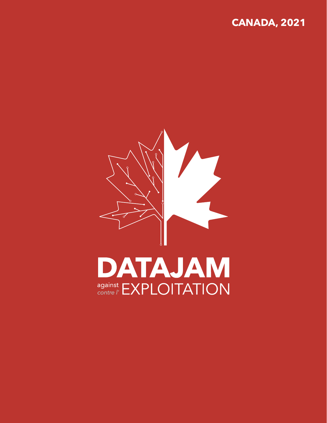# **CANADA, 2021**

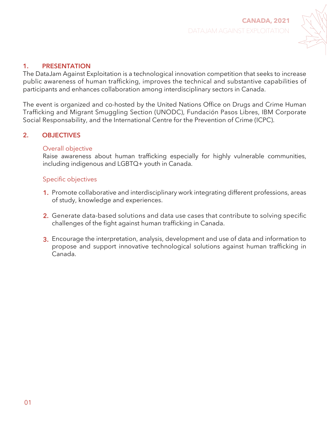

### **1. PRESENTATION**

The DataJam Against Exploitation is a technological innovation competition that seeks to increase public awareness of human trafficking, improves the technical and substantive capabilities of participants and enhances collaboration among interdisciplinary sectors in Canada.

The event is organized and co-hosted by the United Nations Office on Drugs and Crime Human Trafficking and Migrant Smuggling Section (UNODC), Fundación Pasos Libres, IBM Corporate Social Responsability, and the International Centre for the Prevention of Crime (ICPC).

### **2. OBJECTIVES**

### Overall objective

Raise awareness about human trafficking especially for highly vulnerable communities, including indigenous and LGBTQ+ youth in Canada.

### Specific objectives

- Promote collaborative and interdisciplinary work integrating different professions, areas **1.** of study, knowledge and experiences.
- Generate data-based solutions and data use cases that contribute to solving specific **2.** challenges of the fight against human trafficking in Canada.
- Encourage the interpretation, analysis, development and use of data and information to **3.** propose and support innovative technological solutions against human trafficking in Canada.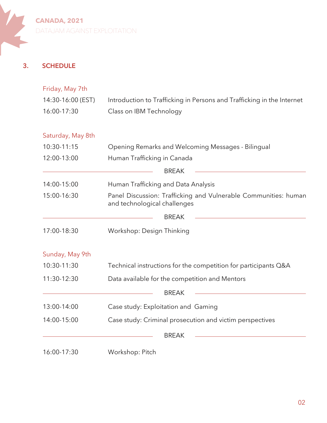**3. SCHEDULE**

| Friday, May 7th                                                                             |                                                                                                 |  |
|---------------------------------------------------------------------------------------------|-------------------------------------------------------------------------------------------------|--|
| 14:30-16:00 (EST)<br>Introduction to Trafficking in Persons and Trafficking in the Internet |                                                                                                 |  |
| 16:00-17:30                                                                                 | Class on IBM Technology                                                                         |  |
| Saturday, May 8th                                                                           |                                                                                                 |  |
| 10:30-11:15                                                                                 | Opening Remarks and Welcoming Messages - Bilingual                                              |  |
| 12:00-13:00                                                                                 | Human Trafficking in Canada                                                                     |  |
|                                                                                             | <b>BREAK</b>                                                                                    |  |
| 14:00-15:00                                                                                 | Human Trafficking and Data Analysis                                                             |  |
| 15:00-16:30                                                                                 | Panel Discussion: Trafficking and Vulnerable Communities: human<br>and technological challenges |  |
|                                                                                             | <b>BREAK</b>                                                                                    |  |
| 17:00-18:30                                                                                 | Workshop: Design Thinking                                                                       |  |
| Sunday, May 9th                                                                             |                                                                                                 |  |
| 10:30-11:30                                                                                 | Technical instructions for the competition for participants Q&A                                 |  |
| 11:30-12:30                                                                                 | Data available for the competition and Mentors                                                  |  |
|                                                                                             | <b>BREAK</b>                                                                                    |  |
| 13:00-14:00                                                                                 | Case study: Exploitation and Gaming                                                             |  |
| 14:00-15:00                                                                                 | Case study: Criminal prosecution and victim perspectives                                        |  |
|                                                                                             | <b>BREAK</b>                                                                                    |  |
| 16:00-17:30                                                                                 | Workshop: Pitch                                                                                 |  |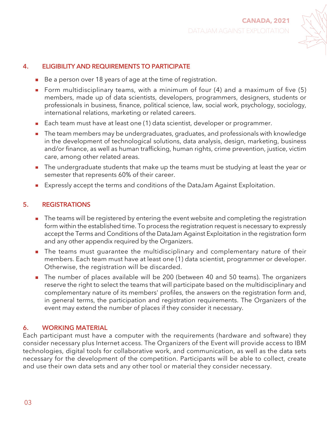

### **4. ELIGIBILITY AND REQUIREMENTS TO PARTICIPATE**

- $\blacksquare$  Be a person over 18 years of age at the time of registration.
- Form multidisciplinary teams, with a minimum of four (4) and a maximum of five (5) members, made up of data scientists, developers, programmers, designers, students or professionals in business, finance, political science, law, social work, psychology, sociology, international relations, marketing or related careers.
- Each team must have at least one (1) data scientist, developer or programmer.
- The team members may be undergraduates, graduates, and professionals with knowledge  $\mathcal{L}_{\mathcal{A}}$ in the development of technological solutions, data analysis, design, marketing, business and/or finance, as well as human trafficking, human rights, crime prevention, justice, victim care, among other related areas.
- **The undergraduate students that make up the teams must be studying at least the year or** semester that represents 60% of their career.
- Expressly accept the terms and conditions of the DataJam Against Exploitation.

#### **5. REGISTRATIONS**

- **The teams will be registered by entering the event website and completing the registration** form within the established time. To process the registration request is necessary to expressly accept the Terms and Conditions of the DataJam Against Exploitation in the registration form and any other appendix required by the Organizers.
- **The teams must quarantee the multidisciplinary and complementary nature of their** members. Each team must have at least one (1) data scientist, programmer or developer. Otherwise, the registration will be discarded.
- The number of places available will be 200 (between 40 and 50 teams). The organizers reserve the right to select the teams that will participate based on the multidisciplinary and complementary nature of its members' profiles, the answers on the registration form and, in general terms, the participation and registration requirements. The Organizers of the event may extend the number of places if they consider it necessary.

#### **6. WORKING MATERIAL**

Each participant must have a computer with the requirements (hardware and software) they consider necessary plus Internet access. The Organizers of the Event will provide access to IBM technologies, digital tools for collaborative work, and communication, as well as the data sets necessary for the development of the competition. Participants will be able to collect, create and use their own data sets and any other tool or material they consider necessary.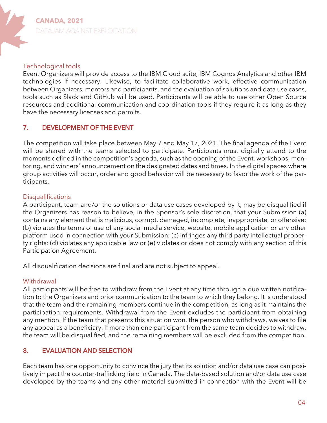### Technological tools

Event Organizers will provide access to the IBM Cloud suite, IBM Cognos Analytics and other IBM technologies if necessary. Likewise, to facilitate collaborative work, effective communication between Organizers, mentors and participants, and the evaluation of solutions and data use cases, tools such as Slack and GitHub will be used. Participants will be able to use other Open Source resources and additional communication and coordination tools if they require it as long as they have the necessary licenses and permits.

### **7. DEVELOPMENT OF THE EVENT**

The competition will take place between May 7 and May 17, 2021. The final agenda of the Event will be shared with the teams selected to participate. Participants must digitally attend to the moments defined in the competition's agenda, such as the opening of the Event, workshops, mentoring, and winners' announcement on the designated dates and times. In the digital spaces where group activities will occur, order and good behavior will be necessary to favor the work of the participants.

### **Disqualifications**

A participant, team and/or the solutions or data use cases developed by it, may be disqualified if the Organizers has reason to believe, in the Sponsor's sole discretion, that your Submission (a) contains any element that is malicious, corrupt, damaged, incomplete, inappropriate, or offensive; (b) violates the terms of use of any social media service, website, mobile application or any other platform used in connection with your Submission; (c) infringes any third party intellectual property rights; (d) violates any applicable law or (e) violates or does not comply with any section of this Participation Agreement.

All disqualification decisions are final and are not subject to appeal.

### **Withdrawal**

All participants will be free to withdraw from the Event at any time through a due written notification to the Organizers and prior communication to the team to which they belong. It is understood that the team and the remaining members continue in the competition, as long as it maintains the participation requirements. Withdrawal from the Event excludes the participant from obtaining any mention. If the team that presents this situation won, the person who withdraws, waives to file any appeal as a beneficiary. If more than one participant from the same team decides to withdraw, the team will be disqualified, and the remaining members will be excluded from the competition.

### **8. EVALUATION AND SELECTION**

Each team has one opportunity to convince the jury that its solution and/or data use case can positively impact the counter-trafficking field in Canada. The data-based solution and/or data use case developed by the teams and any other material submitted in connection with the Event will be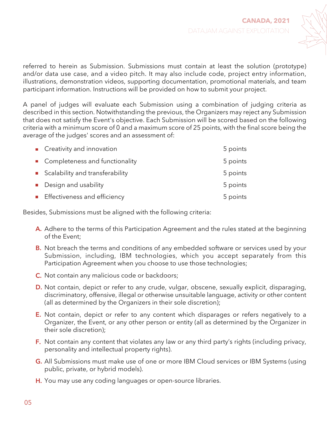

referred to herein as Submission. Submissions must contain at least the solution (prototype) and/or data use case, and a video pitch. It may also include code, project entry information, illustrations, demonstration videos, supporting documentation, promotional materials, and team participant information. Instructions will be provided on how to submit your project.

A panel of judges will evaluate each Submission using a combination of judging criteria as described in this section. Notwithstanding the previous, the Organizers may reject any Submission that does not satisfy the Event's objective. Each Submission will be scored based on the following criteria with a minimum score of 0 and a maximum score of 25 points, with the final score being the average of the judges' scores and an assessment of:

| ■ Creativity and innovation       | 5 points |
|-----------------------------------|----------|
| • Completeness and functionality  | 5 points |
| ■ Scalability and transferability | 5 points |
| Design and usability              | 5 points |
| Effectiveness and efficiency      | 5 points |

Besides, Submissions must be aligned with the following criteria:

- **A.** Adhere to the terms of this Participation Agreement and the rules stated at the beginning of the Event;
- Not breach the terms and conditions of any embedded software or services used by your **B.** Submission, including, IBM technologies, which you accept separately from this Participation Agreement when you choose to use those technologies;
- **C.** Not contain any malicious code or backdoors;
- **D.** Not contain, depict or refer to any crude, vulgar, obscene, sexually explicit, disparaging, discriminatory, offensive, illegal or otherwise unsuitable language, activity or other content (all as determined by the Organizers in their sole discretion);
- Not contain, depict or refer to any content which disparages or refers negatively to a **E.** Organizer, the Event, or any other person or entity (all as determined by the Organizer in their sole discretion);
- **F.** Not contain any content that violates any law or any third party's rights (including privacy, personality and intellectual property rights).
- All Submissions must make use of one or more IBM Cloud services or IBM Systems (using **G.** public, private, or hybrid models).
- **H.** You may use any coding languages or open-source libraries.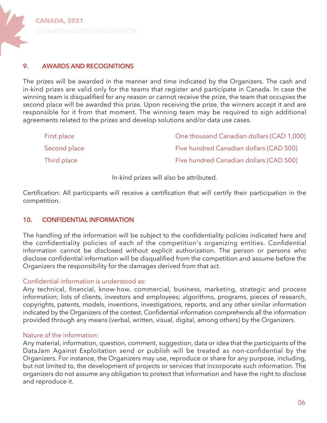#### **9. AWARDS AND RECOGNITIONS**

The prizes will be awarded in the manner and time indicated by the Organizers. The cash and in-kind prizes are valid only for the teams that register and participate in Canada. In case the winning team is disqualified for any reason or cannot receive the prize, the team that occupies the second place will be awarded this prize. Upon receiving the prize, the winners accept it and are responsible for it from that moment. The winning team may be required to sign additional agreements related to the prizes and develop solutions and/or data use cases.

| First place  | One thousand Canadian dollars (CAD 1,000) |
|--------------|-------------------------------------------|
| Second place | Five hundred Canadian dollars (CAD 500)   |
| Third place  | Five hundred Canadian dollars (CAD 500)   |

In-kind prizes will also be attributed.

Certification: All participants will receive a certification that will certify their participation in the competition.

#### **10. CONFIDENTIAL INFORMATION**

The handling of the information will be subject to the confidentiality policies indicated here and the confidentiality policies of each of the competition's organizing entities. Confidential information cannot be disclosed without explicit authorization. The person or persons who disclose confidential information will be disqualified from the competition and assume before the Organizers the responsibility for the damages derived from that act.

#### Confidential information is understood as:

Any technical, financial, know-how, commercial, business, marketing, strategic and process information; lists of clients, investors and employees; algorithms, programs, pieces of research, copyrights, patents, models, inventions, investigations, reports, and any other similar information indicated by the Organizers of the contest. Confidential information comprehends all the information provided through any means (verbal, written, visual, digital, among others) by the Organizers.

#### Nature of the information:

Any material, information, question, comment, suggestion, data or idea that the participants of the DataJam Against Exploitation send or publish will be treated as non-confidential by the Organizers. For instance, the Organizers may use, reproduce or share for any purpose, including, but not limited to, the development of projects or services that incorporate such information. The organizers do not assume any obligation to protect that information and have the right to disclose and reproduce it.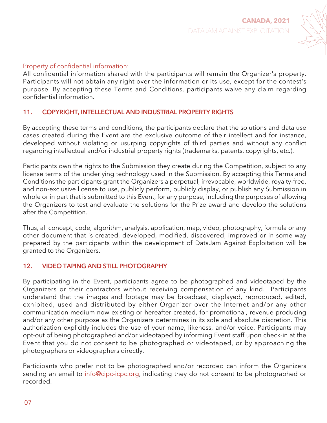

### Property of confidential information:

All confidential information shared with the participants will remain the Organizer's property. Participants will not obtain any right over the information or its use, except for the contest's purpose. By accepting these Terms and Conditions, participants waive any claim regarding confidential information.

### **11. COPYRIGHT, INTELLECTUAL AND INDUSTRIAL PROPERTY RIGHTS**

By accepting these terms and conditions, the participants declare that the solutions and data use cases created during the Event are the exclusive outcome of their intellect and for instance, developed without violating or usurping copyrights of third parties and without any conflict regarding intellectual and/or industrial property rights (trademarks, patents, copyrights, etc.).

Participants own the rights to the Submission they create during the Competition, subject to any license terms of the underlying technology used in the Submission. By accepting this Terms and Conditions the participants grant the Organizers a perpetual, irrevocable, worldwide, royalty-free, and non-exclusive license to use, publicly perform, publicly display, or publish any Submission in whole or in part that is submitted to this Event, for any purpose, including the purposes of allowing the Organizers to test and evaluate the solutions for the Prize award and develop the solutions after the Competition.

Thus, all concept, code, algorithm, analysis, application, map, video, photography, formula or any other document that is created, developed, modified, discovered, improved or in some way prepared by the participants within the development of DataJam Against Exploitation will be granted to the Organizers.

#### **12. VIDEO TAPING AND STILL PHOTOGRAPHY**

By participating in the Event, participants agree to be photographed and videotaped by the Organizers or their contractors without receiving compensation of any kind. Participants understand that the images and footage may be broadcast, displayed, reproduced, edited, exhibited, used and distributed by either Organizer over the Internet and/or any other communication medium now existing or hereafter created, for promotional, revenue producing and/or any other purpose as the Organizers determines in its sole and absolute discretion. This authorization explicitly includes the use of your name, likeness, and/or voice. Participants may opt-out of being photographed and/or videotaped by informing Event staff upon check-in at the Event that you do not consent to be photographed or videotaped, or by approaching the photographers or videographers directly.

Participants who prefer not to be photographed and/or recorded can inform the Organizers sending an email to info@cipc-icpc.org, indicating they do not consent to be photographed or recorded.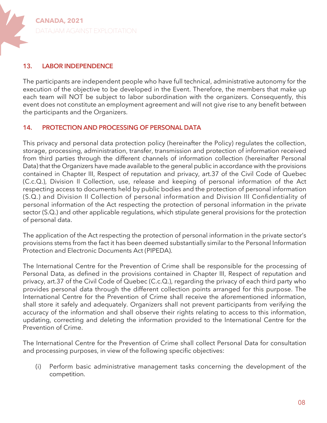

#### **13. LABOR INDEPENDENCE**

The participants are independent people who have full technical, administrative autonomy for the execution of the objective to be developed in the Event. Therefore, the members that make up each team will NOT be subject to labor subordination with the organizers. Consequently, this event does not constitute an employment agreement and will not give rise to any benefit between the participants and the Organizers.

#### **14. PROTECTION AND PROCESSING OF PERSONAL DATA**

This privacy and personal data protection policy (hereinafter the Policy) regulates the collection, storage, processing, administration, transfer, transmission and protection of information received from third parties through the different channels of information collection (hereinafter Personal Data) that the Organizers have made available to the general public in accordance with the provisions contained in Chapter III, Respect of reputation and privacy, art.37 of the Civil Code of Quebec (C.c.Q.), Division II Collection, use, release and keeping of personal information of the Act respecting access to documents held by public bodies and the protection of personal information (S.Q.) and Division II Collection of personal information and Division III Confidentiality of personal information of the Act respecting the protection of personal information in the private sector (S.Q.) and other applicable regulations, which stipulate general provisions for the protection of personal data.

The application of the Act respecting the protection of personal information in the private sector's provisions stems from the fact it has been deemed substantially similar to the Personal Information Protection and Electronic Documents Act (PIPEDA).

The International Centre for the Prevention of Crime shall be responsible for the processing of Personal Data, as defined in the provisions contained in Chapter III, Respect of reputation and privacy, art.37 of the Civil Code of Quebec (C.c.Q.), regarding the privacy of each third party who provides personal data through the different collection points arranged for this purpose. The International Centre for the Prevention of Crime shall receive the aforementioned information, shall store it safely and adequately. Organizers shall not prevent participants from verifying the accuracy of the information and shall observe their rights relating to access to this information, updating, correcting and deleting the information provided to the International Centre for the Prevention of Crime.

The International Centre for the Prevention of Crime shall collect Personal Data for consultation and processing purposes, in view of the following specific objectives:

Perform basic administrative management tasks concerning the development of the competition. (i)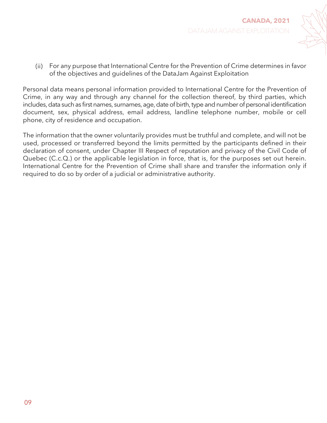

(ii) For any purpose that International Centre for the Prevention of Crime determines in favor of the objectives and guidelines of the DataJam Against Exploitation

Personal data means personal information provided to International Centre for the Prevention of Crime, in any way and through any channel for the collection thereof, by third parties, which includes, data such as first names, surnames, age, date of birth, type and number of personal identification document, sex, physical address, email address, landline telephone number, mobile or cell phone, city of residence and occupation.

The information that the owner voluntarily provides must be truthful and complete, and will not be used, processed or transferred beyond the limits permitted by the participants defined in their declaration of consent, under Chapter III Respect of reputation and privacy of the Civil Code of Quebec (C.c.Q.) or the applicable legislation in force, that is, for the purposes set out herein. International Centre for the Prevention of Crime shall share and transfer the information only if required to do so by order of a judicial or administrative authority.